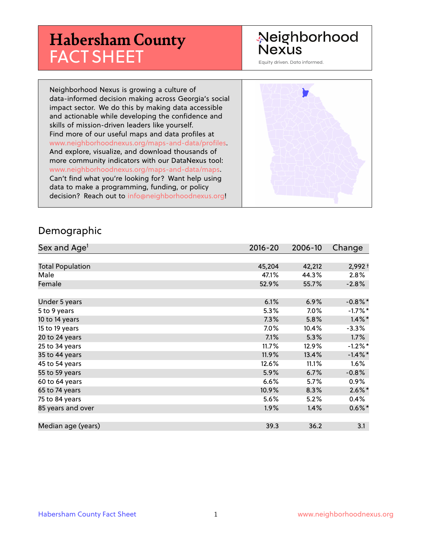## **Habersham County** FACT SHEET

### Neighborhood **Nexus**

Equity driven. Data informed.

Neighborhood Nexus is growing a culture of data-informed decision making across Georgia's social impact sector. We do this by making data accessible and actionable while developing the confidence and skills of mission-driven leaders like yourself. Find more of our useful maps and data profiles at www.neighborhoodnexus.org/maps-and-data/profiles. And explore, visualize, and download thousands of more community indicators with our DataNexus tool: www.neighborhoodnexus.org/maps-and-data/maps. Can't find what you're looking for? Want help using data to make a programming, funding, or policy decision? Reach out to [info@neighborhoodnexus.org!](mailto:info@neighborhoodnexus.org)



#### Demographic

| Sex and Age <sup>1</sup> | $2016 - 20$ | 2006-10 | Change     |
|--------------------------|-------------|---------|------------|
|                          |             |         |            |
| <b>Total Population</b>  | 45,204      | 42,212  | $2,992 +$  |
| Male                     | 47.1%       | 44.3%   | 2.8%       |
| Female                   | 52.9%       | 55.7%   | $-2.8%$    |
|                          |             |         |            |
| Under 5 years            | 6.1%        | 6.9%    | $-0.8\%$ * |
| 5 to 9 years             | 5.3%        | $7.0\%$ | $-1.7%$ *  |
| 10 to 14 years           | 7.3%        | 5.8%    | $1.4\%$ *  |
| 15 to 19 years           | 7.0%        | 10.4%   | $-3.3%$    |
| 20 to 24 years           | 7.1%        | 5.3%    | $1.7\%$    |
| 25 to 34 years           | 11.7%       | 12.9%   | $-1.2%$ *  |
| 35 to 44 years           | 11.9%       | 13.4%   | $-1.4\%$ * |
| 45 to 54 years           | 12.6%       | 11.1%   | $1.6\%$    |
| 55 to 59 years           | 5.9%        | 6.7%    | $-0.8%$    |
| 60 to 64 years           | 6.6%        | 5.7%    | $0.9\%$    |
| 65 to 74 years           | 10.9%       | 8.3%    | $2.6\%$ *  |
| 75 to 84 years           | 5.6%        | 5.2%    | $0.4\%$    |
| 85 years and over        | $1.9\%$     | 1.4%    | $0.6\%$ *  |
|                          |             |         |            |
| Median age (years)       | 39.3        | 36.2    | 3.1        |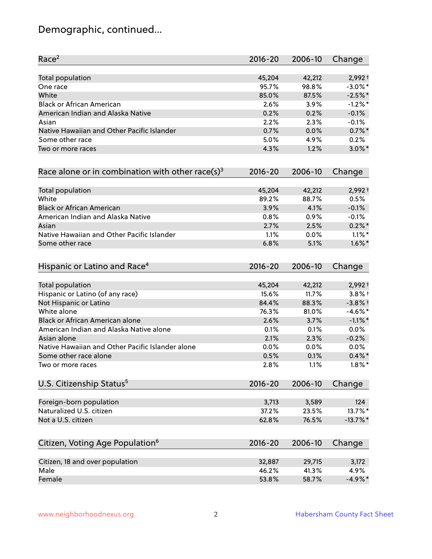#### Demographic, continued...

| Race <sup>2</sup>                                   | $2016 - 20$ | 2006-10 | Change      |
|-----------------------------------------------------|-------------|---------|-------------|
| <b>Total population</b>                             | 45,204      | 42,212  | $2,992 +$   |
| One race                                            | 95.7%       | 98.8%   | $-3.0\%$ *  |
| White                                               | 85.0%       | 87.5%   | $-2.5%$ *   |
| <b>Black or African American</b>                    | 2.6%        | 3.9%    | $-1.2\%$ *  |
| American Indian and Alaska Native                   | 0.2%        | 0.2%    | $-0.1%$     |
| Asian                                               | 2.2%        | 2.3%    | $-0.1%$     |
| Native Hawaiian and Other Pacific Islander          | 0.7%        | 0.0%    | $0.7\%$ *   |
| Some other race                                     | 5.0%        | 4.9%    | 0.2%        |
| Two or more races                                   | 4.3%        | 1.2%    | $3.0\%$ *   |
| Race alone or in combination with other race(s) $3$ | $2016 - 20$ | 2006-10 | Change      |
| Total population                                    | 45,204      | 42,212  | $2,992 +$   |
| White                                               | 89.2%       | 88.7%   | 0.5%        |
| <b>Black or African American</b>                    | 3.9%        | 4.1%    | $-0.1%$     |
| American Indian and Alaska Native                   | 0.8%        | 0.9%    | $-0.1%$     |
| Asian                                               | 2.7%        | 2.5%    | $0.2\%$ *   |
| Native Hawaiian and Other Pacific Islander          | 1.1%        | 0.0%    | $1.1\%$ *   |
| Some other race                                     | 6.8%        | 5.1%    | $1.6\%$ *   |
| Hispanic or Latino and Race <sup>4</sup>            | $2016 - 20$ | 2006-10 | Change      |
| <b>Total population</b>                             | 45,204      | 42,212  | $2,992 +$   |
| Hispanic or Latino (of any race)                    | 15.6%       | 11.7%   | $3.8\%$ +   |
| Not Hispanic or Latino                              | 84.4%       | 88.3%   | $-3.8%$ +   |
| White alone                                         | 76.3%       | 81.0%   | $-4.6\%$ *  |
| Black or African American alone                     | 2.6%        | 3.7%    | $-1.1\%$ *  |
| American Indian and Alaska Native alone             | 0.1%        | 0.1%    | 0.0%        |
| Asian alone                                         | 2.1%        | 2.3%    | $-0.2%$     |
| Native Hawaiian and Other Pacific Islander alone    | 0.0%        | 0.0%    | $0.0\%$     |
| Some other race alone                               | 0.5%        | 0.1%    | $0.4\% *$   |
| Two or more races                                   | 2.8%        | 1.1%    | $1.8\%$ *   |
| U.S. Citizenship Status <sup>5</sup>                | $2016 - 20$ | 2006-10 | Change      |
| Foreign-born population                             | 3,713       | 3,589   | 124         |
| Naturalized U.S. citizen                            | 37.2%       | 23.5%   | 13.7%*      |
| Not a U.S. citizen                                  | 62.8%       | 76.5%   | $-13.7\%$ * |
| Citizen, Voting Age Population <sup>6</sup>         | $2016 - 20$ | 2006-10 | Change      |
|                                                     |             |         |             |
| Citizen, 18 and over population                     | 32,887      | 29,715  | 3,172       |
| Male                                                | 46.2%       | 41.3%   | 4.9%        |
| Female                                              | 53.8%       | 58.7%   | $-4.9\%$ *  |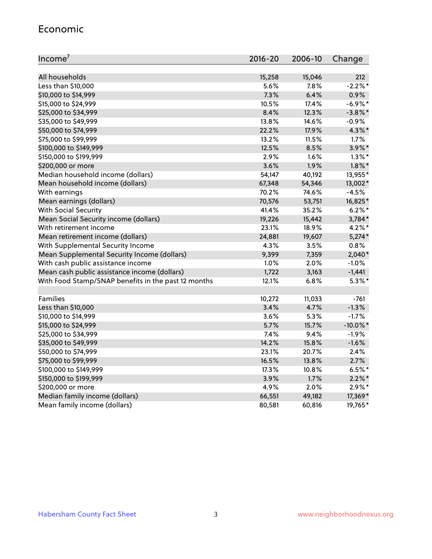#### Economic

| Income <sup>7</sup>                                 | $2016 - 20$ | 2006-10 | Change      |
|-----------------------------------------------------|-------------|---------|-------------|
|                                                     |             |         |             |
| All households                                      | 15,258      | 15,046  | 212         |
| Less than \$10,000                                  | 5.6%        | 7.8%    | $-2.2%$     |
| \$10,000 to \$14,999                                | 7.3%        | 6.4%    | 0.9%        |
| \$15,000 to \$24,999                                | 10.5%       | 17.4%   | $-6.9\%$ *  |
| \$25,000 to \$34,999                                | 8.4%        | 12.3%   | $-3.8\%$ *  |
| \$35,000 to \$49,999                                | 13.8%       | 14.6%   | $-0.9%$     |
| \$50,000 to \$74,999                                | 22.2%       | 17.9%   | $4.3\%$ *   |
| \$75,000 to \$99,999                                | 13.2%       | 11.5%   | 1.7%        |
| \$100,000 to \$149,999                              | 12.5%       | 8.5%    | 3.9%*       |
| \$150,000 to \$199,999                              | 2.9%        | 1.6%    | $1.3\%$ *   |
| \$200,000 or more                                   | 3.6%        | 1.9%    | $1.8\%$ *   |
| Median household income (dollars)                   | 54,147      | 40,192  | 13,955*     |
| Mean household income (dollars)                     | 67,348      | 54,346  | 13,002*     |
| With earnings                                       | 70.2%       | 74.6%   | $-4.5%$     |
| Mean earnings (dollars)                             | 70,576      | 53,751  | 16,825*     |
| <b>With Social Security</b>                         | 41.4%       | 35.2%   | $6.2\%$ *   |
| Mean Social Security income (dollars)               | 19,226      | 15,442  | 3,784*      |
| With retirement income                              | 23.1%       | 18.9%   | $4.2\%$ *   |
| Mean retirement income (dollars)                    | 24,881      | 19,607  | $5,274*$    |
| With Supplemental Security Income                   | 4.3%        | 3.5%    | 0.8%        |
| Mean Supplemental Security Income (dollars)         | 9,399       | 7,359   | $2,040*$    |
| With cash public assistance income                  | 1.0%        | 2.0%    | $-1.0%$     |
| Mean cash public assistance income (dollars)        | 1,722       | 3,163   | $-1,441$    |
| With Food Stamp/SNAP benefits in the past 12 months | 12.1%       | 6.8%    | $5.3\%$ *   |
|                                                     |             |         |             |
| Families                                            | 10,272      | 11,033  | $-761$      |
| Less than \$10,000                                  | 3.4%        | 4.7%    | $-1.3%$     |
| \$10,000 to \$14,999                                | 3.6%        | 5.3%    | $-1.7%$     |
| \$15,000 to \$24,999                                | 5.7%        | 15.7%   | $-10.0\%$ * |
| \$25,000 to \$34,999                                | 7.4%        | 9.4%    | $-1.9%$     |
| \$35,000 to \$49,999                                | 14.2%       | 15.8%   | $-1.6%$     |
| \$50,000 to \$74,999                                | 23.1%       | 20.7%   | 2.4%        |
| \$75,000 to \$99,999                                | 16.5%       | 13.8%   | 2.7%        |
| \$100,000 to \$149,999                              | 17.3%       | 10.8%   | $6.5%$ *    |
| \$150,000 to \$199,999                              | 3.9%        | 1.7%    | $2.2\%$ *   |
| \$200,000 or more                                   | 4.9%        | 2.0%    | $2.9\%*$    |
| Median family income (dollars)                      | 66,551      | 49,182  | 17,369*     |
| Mean family income (dollars)                        | 80,581      | 60,816  | 19,765*     |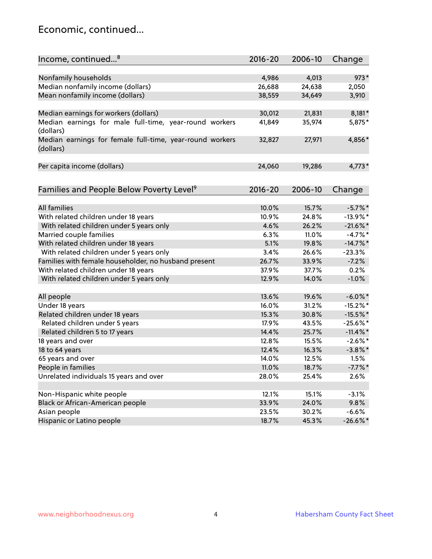#### Economic, continued...

| Income, continued <sup>8</sup>                                        | $2016 - 20$ | 2006-10 | Change      |
|-----------------------------------------------------------------------|-------------|---------|-------------|
|                                                                       |             |         |             |
| Nonfamily households                                                  | 4,986       | 4,013   | $973*$      |
| Median nonfamily income (dollars)                                     | 26,688      | 24,638  | 2,050       |
| Mean nonfamily income (dollars)                                       | 38,559      | 34,649  | 3,910       |
| Median earnings for workers (dollars)                                 | 30,012      | 21,831  | $8,181*$    |
| Median earnings for male full-time, year-round workers                | 41,849      | 35,974  | 5,875*      |
| (dollars)                                                             |             |         |             |
| Median earnings for female full-time, year-round workers<br>(dollars) | 32,827      | 27,971  | 4,856*      |
| Per capita income (dollars)                                           | 24,060      | 19,286  | $4,773*$    |
|                                                                       |             |         |             |
| Families and People Below Poverty Level <sup>9</sup>                  | 2016-20     | 2006-10 | Change      |
|                                                                       |             |         |             |
| <b>All families</b>                                                   | 10.0%       | 15.7%   | $-5.7\%$ *  |
| With related children under 18 years                                  | 10.9%       | 24.8%   | $-13.9\%$ * |
| With related children under 5 years only                              | 4.6%        | 26.2%   | $-21.6\%$ * |
| Married couple families                                               | 6.3%        | 11.0%   | $-4.7%$ *   |
| With related children under 18 years                                  | 5.1%        | 19.8%   | $-14.7\%$ * |
| With related children under 5 years only                              | 3.4%        | 26.6%   | $-23.3%$    |
| Families with female householder, no husband present                  | 26.7%       | 33.9%   | $-7.2%$     |
| With related children under 18 years                                  | 37.9%       | 37.7%   | 0.2%        |
| With related children under 5 years only                              | 12.9%       | 14.0%   | $-1.0%$     |
| All people                                                            | 13.6%       | 19.6%   | $-6.0\%$ *  |
| Under 18 years                                                        | 16.0%       | 31.2%   | $-15.2\%$ * |
| Related children under 18 years                                       | 15.3%       | 30.8%   | $-15.5%$ *  |
| Related children under 5 years                                        | 17.9%       | 43.5%   | $-25.6%$ *  |
| Related children 5 to 17 years                                        | 14.4%       | 25.7%   | $-11.4\%$ * |
| 18 years and over                                                     | 12.8%       | 15.5%   | $-2.6\%$ *  |
| 18 to 64 years                                                        | 12.4%       | 16.3%   | $-3.8\%$ *  |
| 65 years and over                                                     | 14.0%       | 12.5%   | 1.5%        |
| People in families                                                    | 11.0%       | 18.7%   | $-7.7\%$ *  |
| Unrelated individuals 15 years and over                               | 28.0%       | 25.4%   | 2.6%        |
|                                                                       |             |         |             |
| Non-Hispanic white people                                             | 12.1%       | 15.1%   | $-3.1%$     |
| Black or African-American people                                      | 33.9%       | 24.0%   | 9.8%        |
| Asian people                                                          | 23.5%       | 30.2%   | $-6.6%$     |
| Hispanic or Latino people                                             | 18.7%       | 45.3%   | $-26.6\%$ * |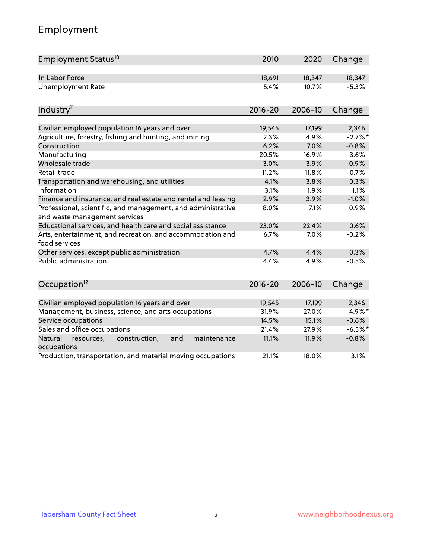#### Employment

| Employment Status <sup>10</sup>                                                               | 2010        | 2020    | Change    |
|-----------------------------------------------------------------------------------------------|-------------|---------|-----------|
| In Labor Force                                                                                | 18,691      | 18,347  | 18,347    |
| <b>Unemployment Rate</b>                                                                      | 5.4%        | 10.7%   | $-5.3%$   |
| Industry <sup>11</sup>                                                                        | $2016 - 20$ | 2006-10 | Change    |
|                                                                                               |             |         |           |
| Civilian employed population 16 years and over                                                | 19,545      | 17,199  | 2,346     |
| Agriculture, forestry, fishing and hunting, and mining                                        | 2.3%        | 4.9%    | $-2.7%$ * |
| Construction                                                                                  | 6.2%        | 7.0%    | $-0.8%$   |
| Manufacturing                                                                                 | 20.5%       | 16.9%   | 3.6%      |
| Wholesale trade                                                                               | 3.0%        | 3.9%    | $-0.9%$   |
| Retail trade                                                                                  | 11.2%       | 11.8%   | $-0.7%$   |
| Transportation and warehousing, and utilities                                                 | 4.1%        | 3.8%    | 0.3%      |
| Information                                                                                   | 3.1%        | 1.9%    | 1.1%      |
| Finance and insurance, and real estate and rental and leasing                                 | 2.9%        | 3.9%    | $-1.0%$   |
| Professional, scientific, and management, and administrative<br>and waste management services | 8.0%        | 7.1%    | 0.9%      |
| Educational services, and health care and social assistance                                   | 23.0%       | 22.4%   | 0.6%      |
| Arts, entertainment, and recreation, and accommodation and<br>food services                   | 6.7%        | 7.0%    | $-0.2%$   |
| Other services, except public administration                                                  | 4.7%        | 4.4%    | 0.3%      |
| Public administration                                                                         | 4.4%        | 4.9%    | $-0.5%$   |
| Occupation <sup>12</sup>                                                                      | $2016 - 20$ | 2006-10 | Change    |
|                                                                                               |             |         |           |
| Civilian employed population 16 years and over                                                | 19,545      | 17,199  | 2,346     |
| Management, business, science, and arts occupations                                           | 31.9%       | 27.0%   | 4.9%*     |
| Service occupations                                                                           | 14.5%       | 15.1%   | $-0.6%$   |
| Sales and office occupations                                                                  | 21.4%       | 27.9%   | $-6.5%$ * |
| Natural<br>resources,<br>construction,<br>and<br>maintenance<br>occupations                   | 11.1%       | 11.9%   | $-0.8%$   |
| Production, transportation, and material moving occupations                                   | 21.1%       | 18.0%   | 3.1%      |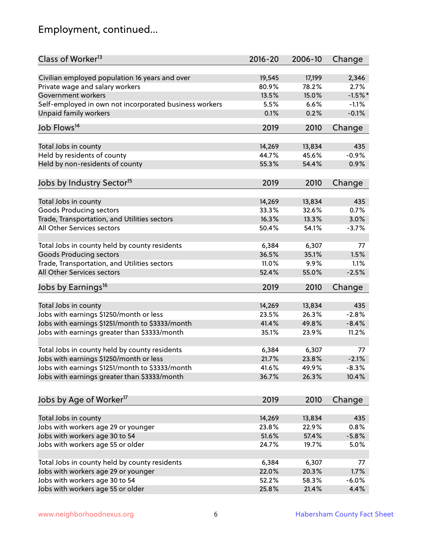#### Employment, continued...

| Class of Worker <sup>13</sup>                          | $2016 - 20$     | 2006-10         | Change    |
|--------------------------------------------------------|-----------------|-----------------|-----------|
| Civilian employed population 16 years and over         | 19,545          | 17,199          | 2,346     |
| Private wage and salary workers                        | 80.9%           | 78.2%           | 2.7%      |
| Government workers                                     | 13.5%           | 15.0%           | $-1.5%$ * |
| Self-employed in own not incorporated business workers | 5.5%            | 6.6%            | $-1.1%$   |
| Unpaid family workers                                  | 0.1%            | 0.2%            | $-0.1%$   |
| Job Flows <sup>14</sup>                                | 2019            | 2010            | Change    |
|                                                        |                 |                 | 435       |
| Total Jobs in county                                   | 14,269<br>44.7% | 13,834<br>45.6% |           |
| Held by residents of county                            |                 |                 | $-0.9%$   |
| Held by non-residents of county                        | 55.3%           | 54.4%           | 0.9%      |
| Jobs by Industry Sector <sup>15</sup>                  | 2019            | 2010            | Change    |
| Total Jobs in county                                   | 14,269          | 13,834          | 435       |
| Goods Producing sectors                                | 33.3%           | 32.6%           | 0.7%      |
| Trade, Transportation, and Utilities sectors           | 16.3%           | 13.3%           | 3.0%      |
| All Other Services sectors                             | 50.4%           | 54.1%           | $-3.7%$   |
|                                                        |                 |                 |           |
| Total Jobs in county held by county residents          | 6,384           | 6,307           | 77        |
| <b>Goods Producing sectors</b>                         | 36.5%           | 35.1%           | 1.5%      |
| Trade, Transportation, and Utilities sectors           | 11.0%           | 9.9%            | 1.1%      |
| All Other Services sectors                             | 52.4%           | 55.0%           | $-2.5%$   |
| Jobs by Earnings <sup>16</sup>                         | 2019            | 2010            | Change    |
|                                                        |                 |                 |           |
| Total Jobs in county                                   | 14,269          | 13,834          | 435       |
| Jobs with earnings \$1250/month or less                | 23.5%           | 26.3%           | $-2.8%$   |
| Jobs with earnings \$1251/month to \$3333/month        | 41.4%           | 49.8%           | $-8.4%$   |
| Jobs with earnings greater than \$3333/month           | 35.1%           | 23.9%           | 11.2%     |
| Total Jobs in county held by county residents          | 6,384           | 6,307           | 77        |
| Jobs with earnings \$1250/month or less                | 21.7%           | 23.8%           | $-2.1%$   |
| Jobs with earnings \$1251/month to \$3333/month        | 41.6%           | 49.9%           | $-8.3\%$  |
| Jobs with earnings greater than \$3333/month           | 36.7%           | 26.3%           | 10.4%     |
|                                                        | 2019            |                 |           |
| Jobs by Age of Worker <sup>17</sup>                    |                 | 2010            | Change    |
| Total Jobs in county                                   | 14,269          | 13,834          | 435       |
| Jobs with workers age 29 or younger                    | 23.8%           | 22.9%           | 0.8%      |
| Jobs with workers age 30 to 54                         | 51.6%           | 57.4%           | $-5.8%$   |
| Jobs with workers age 55 or older                      | 24.7%           | 19.7%           | 5.0%      |
|                                                        |                 |                 |           |
| Total Jobs in county held by county residents          | 6,384           | 6,307           | 77        |
| Jobs with workers age 29 or younger                    | 22.0%           | 20.3%           | 1.7%      |
| Jobs with workers age 30 to 54                         | 52.2%           | 58.3%           | $-6.0%$   |
| Jobs with workers age 55 or older                      | 25.8%           | 21.4%           | 4.4%      |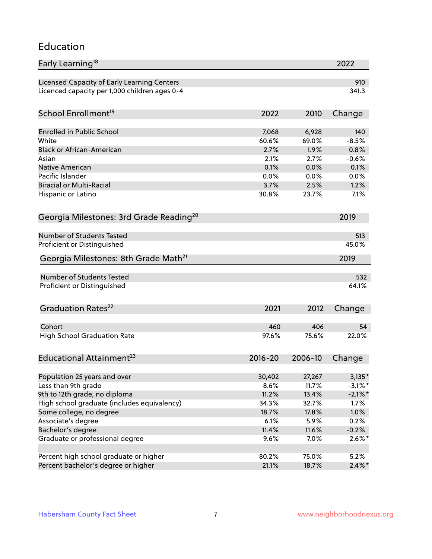#### Education

| Early Learning <sup>18</sup>                        |              |                | 2022       |
|-----------------------------------------------------|--------------|----------------|------------|
| Licensed Capacity of Early Learning Centers         |              |                | 910        |
| Licenced capacity per 1,000 children ages 0-4       |              |                | 341.3      |
| School Enrollment <sup>19</sup>                     | 2022         | 2010           | Change     |
|                                                     |              |                |            |
| <b>Enrolled in Public School</b>                    | 7,068        | 6,928          | 140        |
| White<br><b>Black or African-American</b>           | 60.6%        | 69.0%          | $-8.5%$    |
|                                                     | 2.7%         | 1.9%           | 0.8%       |
| Asian                                               | 2.1%<br>0.1% | 2.7%           | $-0.6%$    |
| <b>Native American</b><br>Pacific Islander          | 0.0%         | 0.0%           | 0.1%       |
|                                                     |              | 0.0%           | 0.0%       |
| <b>Biracial or Multi-Racial</b>                     | 3.7%         | 2.5%           | 1.2%       |
| Hispanic or Latino                                  | 30.8%        | 23.7%          | 7.1%       |
| Georgia Milestones: 3rd Grade Reading <sup>20</sup> |              |                | 2019       |
| <b>Number of Students Tested</b>                    |              |                | 513        |
| Proficient or Distinguished                         |              |                | 45.0%      |
| Georgia Milestones: 8th Grade Math <sup>21</sup>    |              |                | 2019       |
|                                                     |              |                |            |
| Number of Students Tested                           |              |                | 532        |
| Proficient or Distinguished                         |              |                | 64.1%      |
| Graduation Rates <sup>22</sup>                      | 2021         | 2012           | Change     |
|                                                     |              |                |            |
| Cohort                                              | 460          | 406            | 54         |
| <b>High School Graduation Rate</b>                  | 97.6%        | 75.6%          | 22.0%      |
| Educational Attainment <sup>23</sup>                | $2016 - 20$  | 2006-10        | Change     |
|                                                     |              |                |            |
| Population 25 years and over<br>Less than 9th grade | 30,402       | 27,267         | $3,135*$   |
|                                                     | 8.6%         | 11.7%<br>13.4% | $-3.1\%$ * |
| 9th to 12th grade, no diploma                       | 11.2%        |                | $-2.1\%$ * |
| High school graduate (includes equivalency)         | 34.3%        | 32.7%          | 1.7%       |
| Some college, no degree                             | 18.7%        | 17.8%          | 1.0%       |
| Associate's degree                                  | 6.1%         | 5.9%           | 0.2%       |
| Bachelor's degree                                   | 11.4%        | 11.6%          | $-0.2%$    |
| Graduate or professional degree                     | 9.6%         | 7.0%           | $2.6\%*$   |
| Percent high school graduate or higher              | 80.2%        | 75.0%          | 5.2%       |
| Percent bachelor's degree or higher                 | 21.1%        | 18.7%          | $2.4\%$ *  |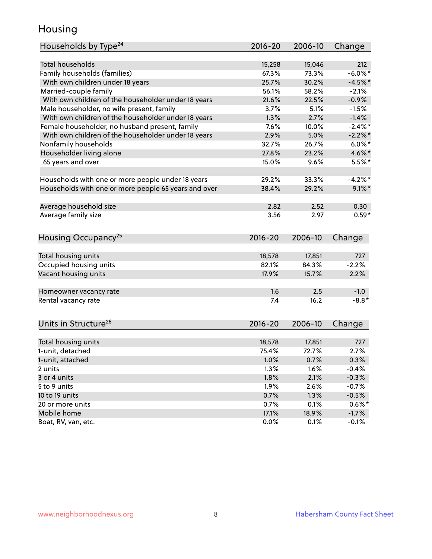#### Housing

| Households by Type <sup>24</sup>                     | 2016-20     | 2006-10 | Change     |
|------------------------------------------------------|-------------|---------|------------|
|                                                      |             |         |            |
| <b>Total households</b>                              | 15,258      | 15,046  | 212        |
| Family households (families)                         | 67.3%       | 73.3%   | $-6.0\%$ * |
| With own children under 18 years                     | 25.7%       | 30.2%   | $-4.5%$ *  |
| Married-couple family                                | 56.1%       | 58.2%   | $-2.1%$    |
| With own children of the householder under 18 years  | 21.6%       | 22.5%   | $-0.9%$    |
| Male householder, no wife present, family            | 3.7%        | 5.1%    | $-1.5%$    |
| With own children of the householder under 18 years  | 1.3%        | 2.7%    | $-1.4%$    |
| Female householder, no husband present, family       | 7.6%        | 10.0%   | $-2.4\%$ * |
| With own children of the householder under 18 years  | 2.9%        | 5.0%    | $-2.2\%$ * |
| Nonfamily households                                 | 32.7%       | 26.7%   | $6.0\%$ *  |
| Householder living alone                             | 27.8%       | 23.2%   | 4.6%*      |
| 65 years and over                                    | 15.0%       | 9.6%    | $5.5%$ *   |
|                                                      |             |         |            |
| Households with one or more people under 18 years    | 29.2%       | 33.3%   | $-4.2%$    |
| Households with one or more people 65 years and over | 38.4%       | 29.2%   | $9.1\%$ *  |
|                                                      |             |         |            |
| Average household size                               | 2.82        | 2.52    | 0.30       |
| Average family size                                  | 3.56        | 2.97    | $0.59*$    |
| Housing Occupancy <sup>25</sup>                      | $2016 - 20$ | 2006-10 | Change     |
|                                                      |             |         |            |
| Total housing units                                  | 18,578      | 17,851  | 727        |
| Occupied housing units                               | 82.1%       | 84.3%   | $-2.2%$    |
| Vacant housing units                                 | 17.9%       | 15.7%   | 2.2%       |
|                                                      |             |         |            |
| Homeowner vacancy rate                               | 1.6         | 2.5     | $-1.0$     |
| Rental vacancy rate                                  | 7.4         | 16.2    | $-8.8*$    |
| Units in Structure <sup>26</sup>                     | $2016 - 20$ | 2006-10 | Change     |
|                                                      |             |         |            |
| Total housing units                                  | 18,578      | 17,851  | 727        |
| 1-unit, detached                                     | 75.4%       | 72.7%   | 2.7%       |
| 1-unit, attached                                     | 1.0%        | 0.7%    | 0.3%       |
| 2 units                                              | 1.3%        | 1.6%    | $-0.4%$    |
| 3 or 4 units                                         | 1.8%        | 2.1%    | $-0.3%$    |
| 5 to 9 units                                         | 1.9%        | 2.6%    | $-0.7%$    |
| 10 to 19 units                                       | 0.7%        | 1.3%    | $-0.5%$    |
| 20 or more units                                     | 0.7%        | 0.1%    | $0.6\%*$   |
| Mobile home                                          | 17.1%       | 18.9%   | $-1.7%$    |
| Boat, RV, van, etc.                                  | 0.0%        | 0.1%    | $-0.1%$    |
|                                                      |             |         |            |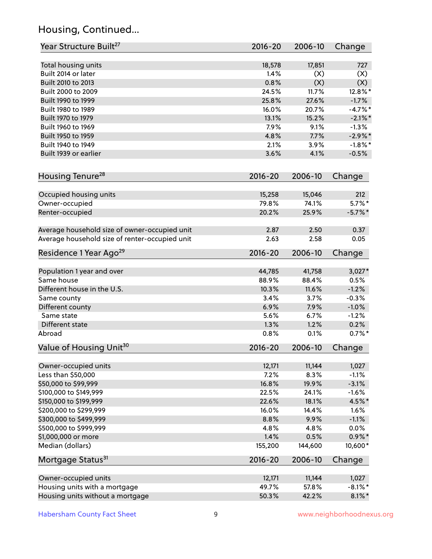#### Housing, Continued...

| Year Structure Built <sup>27</sup>             | 2016-20     | 2006-10 | Change     |
|------------------------------------------------|-------------|---------|------------|
| Total housing units                            | 18,578      | 17,851  | 727        |
| Built 2014 or later                            | 1.4%        | (X)     | (X)        |
| Built 2010 to 2013                             | 0.8%        | (X)     | (X)        |
| Built 2000 to 2009                             | 24.5%       | 11.7%   | 12.8%*     |
| Built 1990 to 1999                             | 25.8%       | 27.6%   | $-1.7%$    |
| Built 1980 to 1989                             | 16.0%       | 20.7%   | $-4.7\%$ * |
| Built 1970 to 1979                             | 13.1%       | 15.2%   | $-2.1\%$ * |
| Built 1960 to 1969                             | 7.9%        | 9.1%    | $-1.3%$    |
| Built 1950 to 1959                             | 4.8%        | 7.7%    | $-2.9\%$ * |
| Built 1940 to 1949                             | 2.1%        | 3.9%    | $-1.8\%$ * |
| Built 1939 or earlier                          | 3.6%        | 4.1%    | $-0.5%$    |
| Housing Tenure <sup>28</sup>                   | 2016-20     | 2006-10 | Change     |
|                                                |             |         |            |
| Occupied housing units                         | 15,258      | 15,046  | 212        |
| Owner-occupied                                 | 79.8%       | 74.1%   | $5.7\%$ *  |
| Renter-occupied                                | 20.2%       | 25.9%   | $-5.7\%$ * |
| Average household size of owner-occupied unit  | 2.87        | 2.50    | 0.37       |
| Average household size of renter-occupied unit | 2.63        | 2.58    | 0.05       |
| Residence 1 Year Ago <sup>29</sup>             | 2016-20     | 2006-10 | Change     |
| Population 1 year and over                     | 44,785      | 41,758  | $3,027*$   |
| Same house                                     | 88.9%       | 88.4%   | 0.5%       |
| Different house in the U.S.                    | 10.3%       | 11.6%   | $-1.2%$    |
| Same county                                    | 3.4%        | 3.7%    | $-0.3%$    |
| Different county                               | 6.9%        | 7.9%    | $-1.0%$    |
| Same state                                     | 5.6%        | 6.7%    | $-1.2%$    |
| Different state                                | 1.3%        | 1.2%    | 0.2%       |
| Abroad                                         | 0.8%        | 0.1%    | $0.7%$ *   |
| Value of Housing Unit <sup>30</sup>            | $2016 - 20$ | 2006-10 | Change     |
| Owner-occupied units                           | 12,171      | 11,144  | 1,027      |
| Less than \$50,000                             | 7.2%        | 8.3%    | $-1.1%$    |
| \$50,000 to \$99,999                           | 16.8%       | 19.9%   | $-3.1%$    |
| \$100,000 to \$149,999                         | 22.5%       | 24.1%   | $-1.6%$    |
| \$150,000 to \$199,999                         | 22.6%       | 18.1%   | 4.5%*      |
| \$200,000 to \$299,999                         | 16.0%       | 14.4%   | 1.6%       |
| \$300,000 to \$499,999                         | 8.8%        | 9.9%    | $-1.1%$    |
| \$500,000 to \$999,999                         | 4.8%        | 4.8%    | 0.0%       |
| \$1,000,000 or more                            | 1.4%        | 0.5%    | $0.9\% *$  |
| Median (dollars)                               | 155,200     | 144,600 | $10,600*$  |
| Mortgage Status <sup>31</sup>                  | $2016 - 20$ | 2006-10 | Change     |
|                                                |             |         |            |
| Owner-occupied units                           | 12,171      | 11,144  | 1,027      |
| Housing units with a mortgage                  | 49.7%       | 57.8%   | $-8.1\%$ * |
| Housing units without a mortgage               | 50.3%       | 42.2%   | $8.1\%$ *  |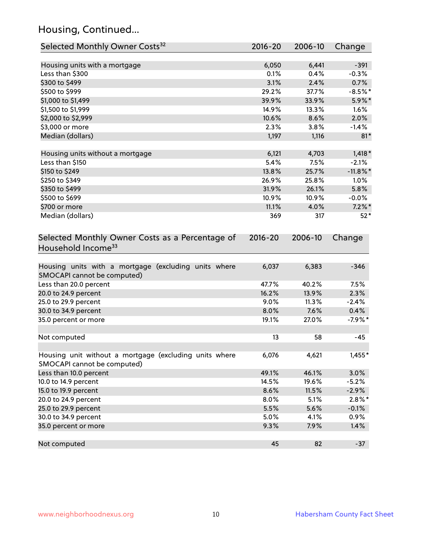#### Housing, Continued...

| Selected Monthly Owner Costs <sup>32</sup>                                            | $2016 - 20$ | 2006-10 | Change      |
|---------------------------------------------------------------------------------------|-------------|---------|-------------|
| Housing units with a mortgage                                                         | 6,050       | 6,441   | $-391$      |
| Less than \$300                                                                       | 0.1%        | 0.4%    | $-0.3%$     |
| \$300 to \$499                                                                        | 3.1%        | 2.4%    | 0.7%        |
| \$500 to \$999                                                                        | 29.2%       | 37.7%   | $-8.5%$ *   |
| \$1,000 to \$1,499                                                                    | 39.9%       | 33.9%   | 5.9%*       |
| \$1,500 to \$1,999                                                                    | 14.9%       | 13.3%   | 1.6%        |
| \$2,000 to \$2,999                                                                    | 10.6%       | 8.6%    | 2.0%        |
| \$3,000 or more                                                                       | 2.3%        | 3.8%    | $-1.4%$     |
| Median (dollars)                                                                      | 1,197       | 1,116   | $81*$       |
| Housing units without a mortgage                                                      | 6,121       | 4,703   | $1,418*$    |
| Less than \$150                                                                       | 5.4%        | 7.5%    | $-2.1%$     |
| \$150 to \$249                                                                        | 13.8%       | 25.7%   | $-11.8\%$ * |
| \$250 to \$349                                                                        | 26.9%       | 25.8%   | 1.0%        |
| \$350 to \$499                                                                        | 31.9%       | 26.1%   | 5.8%        |
| \$500 to \$699                                                                        | 10.9%       | 10.9%   | $-0.0\%$    |
| \$700 or more                                                                         | 11.1%       | 4.0%    | $7.2\%$ *   |
| Median (dollars)                                                                      | 369         | 317     | $52*$       |
| Selected Monthly Owner Costs as a Percentage of<br>Household Income <sup>33</sup>     | $2016 - 20$ | 2006-10 | Change      |
| Housing units with a mortgage (excluding units where<br>SMOCAPI cannot be computed)   | 6,037       | 6,383   | $-346$      |
| Less than 20.0 percent                                                                | 47.7%       | 40.2%   | 7.5%        |
| 20.0 to 24.9 percent                                                                  | 16.2%       | 13.9%   | 2.3%        |
| 25.0 to 29.9 percent                                                                  | 9.0%        | 11.3%   | $-2.4%$     |
| 30.0 to 34.9 percent                                                                  | 8.0%        | 7.6%    | 0.4%        |
| 35.0 percent or more                                                                  | 19.1%       | 27.0%   | $-7.9%$ *   |
| Not computed                                                                          | 13          | 58      | $-45$       |
| Housing unit without a mortgage (excluding units where<br>SMOCAPI cannot be computed) | 6,076       | 4,621   | $1,455*$    |
| Less than 10.0 percent                                                                | 49.1%       | 46.1%   | 3.0%        |
| 10.0 to 14.9 percent                                                                  | 14.5%       | 19.6%   | $-5.2%$     |
| 15.0 to 19.9 percent                                                                  | 8.6%        | 11.5%   | $-2.9%$     |
| 20.0 to 24.9 percent                                                                  | 8.0%        | 5.1%    | $2.8\%$ *   |
| 25.0 to 29.9 percent                                                                  | 5.5%        | 5.6%    | $-0.1%$     |
| 30.0 to 34.9 percent                                                                  | 5.0%        | 4.1%    | 0.9%        |
| 35.0 percent or more                                                                  | 9.3%        | 7.9%    | 1.4%        |
| Not computed                                                                          | 45          | 82      | $-37$       |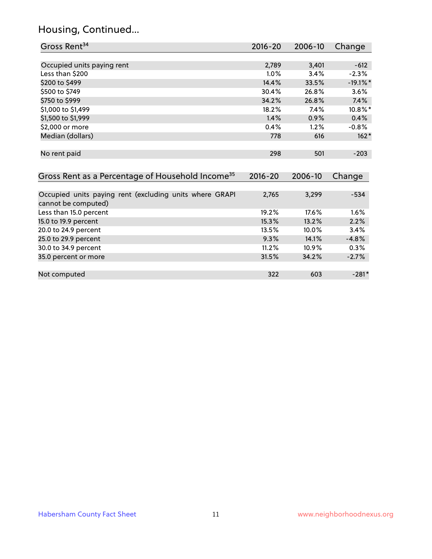#### Housing, Continued...

| Gross Rent <sup>34</sup>                                                       | 2016-20     | 2006-10 | Change      |
|--------------------------------------------------------------------------------|-------------|---------|-------------|
|                                                                                |             |         |             |
| Occupied units paying rent                                                     | 2,789       | 3,401   | $-612$      |
| Less than \$200                                                                | 1.0%        | 3.4%    | $-2.3%$     |
| \$200 to \$499                                                                 | 14.4%       | 33.5%   | $-19.1\%$ * |
| \$500 to \$749                                                                 | 30.4%       | 26.8%   | 3.6%        |
| \$750 to \$999                                                                 | 34.2%       | 26.8%   | 7.4%        |
| \$1,000 to \$1,499                                                             | 18.2%       | 7.4%    | 10.8%*      |
| \$1,500 to \$1,999                                                             | 1.4%        | 0.9%    | 0.4%        |
| \$2,000 or more                                                                | 0.4%        | 1.2%    | $-0.8%$     |
| Median (dollars)                                                               | 778         | 616     | $162*$      |
| No rent paid                                                                   | 298         | 501     | $-203$      |
| Gross Rent as a Percentage of Household Income <sup>35</sup>                   | $2016 - 20$ | 2006-10 | Change      |
| Occupied units paying rent (excluding units where GRAPI<br>cannot be computed) | 2,765       | 3,299   | $-534$      |
| Less than 15.0 percent                                                         | 19.2%       | 17.6%   | 1.6%        |
| 15.0 to 19.9 percent                                                           | 15.3%       | 13.2%   | 2.2%        |
| 20.0 to 24.9 percent                                                           | 13.5%       | 10.0%   | 3.4%        |
| 25.0 to 29.9 percent                                                           | 9.3%        | 14.1%   | $-4.8%$     |
| 30.0 to 34.9 percent                                                           | 11.2%       | 10.9%   | 0.3%        |
| 35.0 percent or more                                                           | 31.5%       | 34.2%   | $-2.7%$     |
| Not computed                                                                   | 322         | 603     | $-281*$     |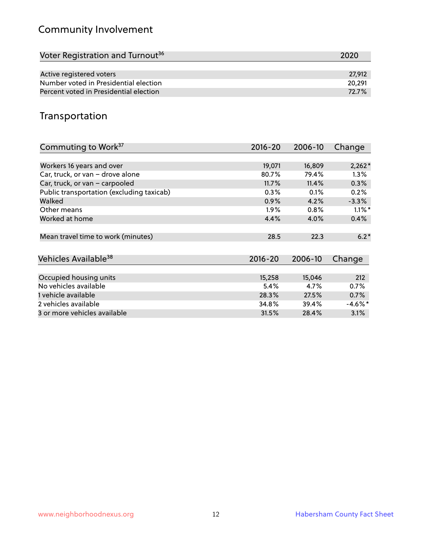#### Community Involvement

| Voter Registration and Turnout <sup>36</sup> | 2020   |
|----------------------------------------------|--------|
|                                              |        |
| Active registered voters                     | 27.912 |
| Number voted in Presidential election        | 20.291 |
| Percent voted in Presidential election       | 72.7%  |

#### Transportation

| Commuting to Work <sup>37</sup>           | 2016-20     | 2006-10 | Change     |
|-------------------------------------------|-------------|---------|------------|
|                                           |             |         |            |
| Workers 16 years and over                 | 19,071      | 16,809  | $2,262*$   |
| Car, truck, or van - drove alone          | 80.7%       | 79.4%   | 1.3%       |
| Car, truck, or van - carpooled            | 11.7%       | 11.4%   | 0.3%       |
| Public transportation (excluding taxicab) | 0.3%        | 0.1%    | 0.2%       |
| Walked                                    | 0.9%        | 4.2%    | $-3.3%$    |
| Other means                               | $1.9\%$     | 0.8%    | $1.1\%$ *  |
| Worked at home                            | 4.4%        | 4.0%    | 0.4%       |
| Mean travel time to work (minutes)        | 28.5        | 22.3    | $6.2*$     |
| Vehicles Available <sup>38</sup>          | $2016 - 20$ | 2006-10 | Change     |
| Occupied housing units                    | 15,258      | 15,046  | 212        |
| No vehicles available                     | 5.4%        | 4.7%    | 0.7%       |
| 1 vehicle available                       | 28.3%       | 27.5%   | 0.7%       |
| 2 vehicles available                      | 34.8%       | 39.4%   | $-4.6\%$ * |
| 3 or more vehicles available              | 31.5%       | 28.4%   | 3.1%       |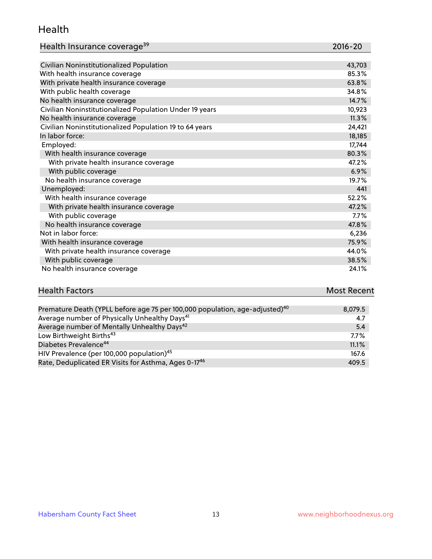#### Health

| Health Insurance coverage <sup>39</sup> | 2016-20 |
|-----------------------------------------|---------|
|-----------------------------------------|---------|

| Civilian Noninstitutionalized Population                | 43,703 |
|---------------------------------------------------------|--------|
| With health insurance coverage                          | 85.3%  |
| With private health insurance coverage                  | 63.8%  |
| With public health coverage                             | 34.8%  |
| No health insurance coverage                            | 14.7%  |
| Civilian Noninstitutionalized Population Under 19 years | 10,923 |
| No health insurance coverage                            | 11.3%  |
| Civilian Noninstitutionalized Population 19 to 64 years | 24,421 |
| In labor force:                                         | 18,185 |
| Employed:                                               | 17,744 |
| With health insurance coverage                          | 80.3%  |
| With private health insurance coverage                  | 47.2%  |
| With public coverage                                    | 6.9%   |
| No health insurance coverage                            | 19.7%  |
| Unemployed:                                             | 441    |
| With health insurance coverage                          | 52.2%  |
| With private health insurance coverage                  | 47.2%  |
| With public coverage                                    | 7.7%   |
| No health insurance coverage                            | 47.8%  |
| Not in labor force:                                     | 6,236  |
| With health insurance coverage                          | 75.9%  |
| With private health insurance coverage                  | 44.0%  |
| With public coverage                                    | 38.5%  |
| No health insurance coverage                            | 24.1%  |

# **Health Factors Most Recent** And The Control of the Control of The Control of The Control of The Control of The Control of The Control of The Control of The Control of The Control of The Control of The Control of The Contr

| Premature Death (YPLL before age 75 per 100,000 population, age-adjusted) <sup>40</sup> | 8,079.5 |
|-----------------------------------------------------------------------------------------|---------|
| Average number of Physically Unhealthy Days <sup>41</sup>                               | 4.7     |
| Average number of Mentally Unhealthy Days <sup>42</sup>                                 | 5.4     |
| Low Birthweight Births <sup>43</sup>                                                    | $7.7\%$ |
| Diabetes Prevalence <sup>44</sup>                                                       | 11.1%   |
| HIV Prevalence (per 100,000 population) <sup>45</sup>                                   | 167.6   |
| Rate, Deduplicated ER Visits for Asthma, Ages 0-17 <sup>46</sup>                        | 409.5   |